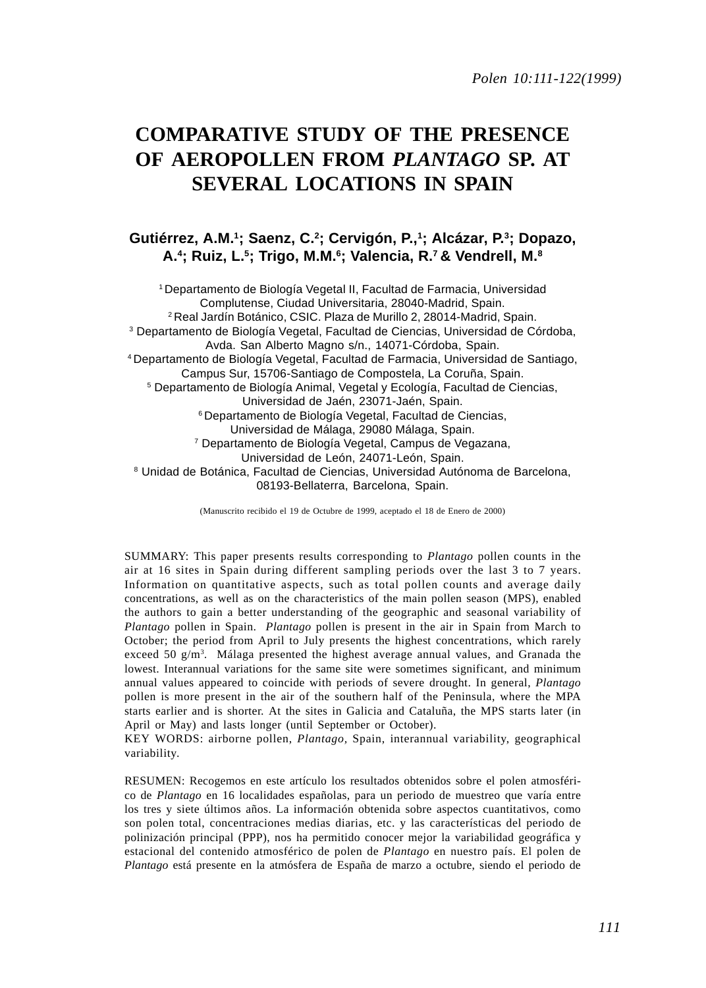# **COMPARATIVE STUDY OF THE PRESENCE OF AEROPOLLEN FROM** *PLANTAGO* **SP. AT SEVERAL LOCATIONS IN SPAIN**

## **Gutiérrez, A.M.1; Saenz, C.2 ; Cervigón, P.,1 ; Alcázar, P.3; Dopazo, A.4 ; Ruiz, L.5; Trigo, M.M.6 ; Valencia, R.7 & Vendrell, M.8**

1 Departamento de Biología Vegetal II, Facultad de Farmacia, Universidad Complutense, Ciudad Universitaria, 28040-Madrid, Spain. 2 Real Jardín Botánico, CSIC. Plaza de Murillo 2, 28014-Madrid, Spain. 3 Departamento de Biología Vegetal, Facultad de Ciencias, Universidad de Córdoba, Avda. San Alberto Magno s/n., 14071-Córdoba, Spain. 4 Departamento de Biología Vegetal, Facultad de Farmacia, Universidad de Santiago, Campus Sur, 15706-Santiago de Compostela, La Coruña, Spain. 5 Departamento de Biología Animal, Vegetal y Ecología, Facultad de Ciencias, Universidad de Jaén, 23071-Jaén, Spain. 6 Departamento de Biología Vegetal, Facultad de Ciencias, Universidad de Málaga, 29080 Málaga, Spain. 7 Departamento de Biología Vegetal, Campus de Vegazana, Universidad de León, 24071-León, Spain. 8 Unidad de Botánica, Facultad de Ciencias, Universidad Autónoma de Barcelona, 08193-Bellaterra, Barcelona, Spain.

(Manuscrito recibido el 19 de Octubre de 1999, aceptado el 18 de Enero de 2000)

SUMMARY: This paper presents results corresponding to *Plantago* pollen counts in the air at 16 sites in Spain during different sampling periods over the last 3 to 7 years. Information on quantitative aspects, such as total pollen counts and average daily concentrations, as well as on the characteristics of the main pollen season (MPS), enabled the authors to gain a better understanding of the geographic and seasonal variability of *Plantago* pollen in Spain. *Plantago* pollen is present in the air in Spain from March to October; the period from April to July presents the highest concentrations, which rarely exceed 50  $g/m<sup>3</sup>$ . Málaga presented the highest average annual values, and Granada the lowest. Interannual variations for the same site were sometimes significant, and minimum annual values appeared to coincide with periods of severe drought. In general, *Plantago* pollen is more present in the air of the southern half of the Peninsula, where the MPA starts earlier and is shorter. At the sites in Galicia and Cataluña, the MPS starts later (in April or May) and lasts longer (until September or October).

KEY WORDS: airborne pollen, *Plantago,* Spain, interannual variability, geographical variability.

RESUMEN: Recogemos en este artículo los resultados obtenidos sobre el polen atmosférico de *Plantago* en 16 localidades españolas, para un periodo de muestreo que varía entre los tres y siete últimos años. La información obtenida sobre aspectos cuantitativos, como son polen total, concentraciones medias diarias, etc. y las características del periodo de polinización principal (PPP), nos ha permitido conocer mejor la variabilidad geográfica y estacional del contenido atmosférico de polen de *Plantago* en nuestro país. El polen de *Plantago* está presente en la atmósfera de España de marzo a octubre, siendo el periodo de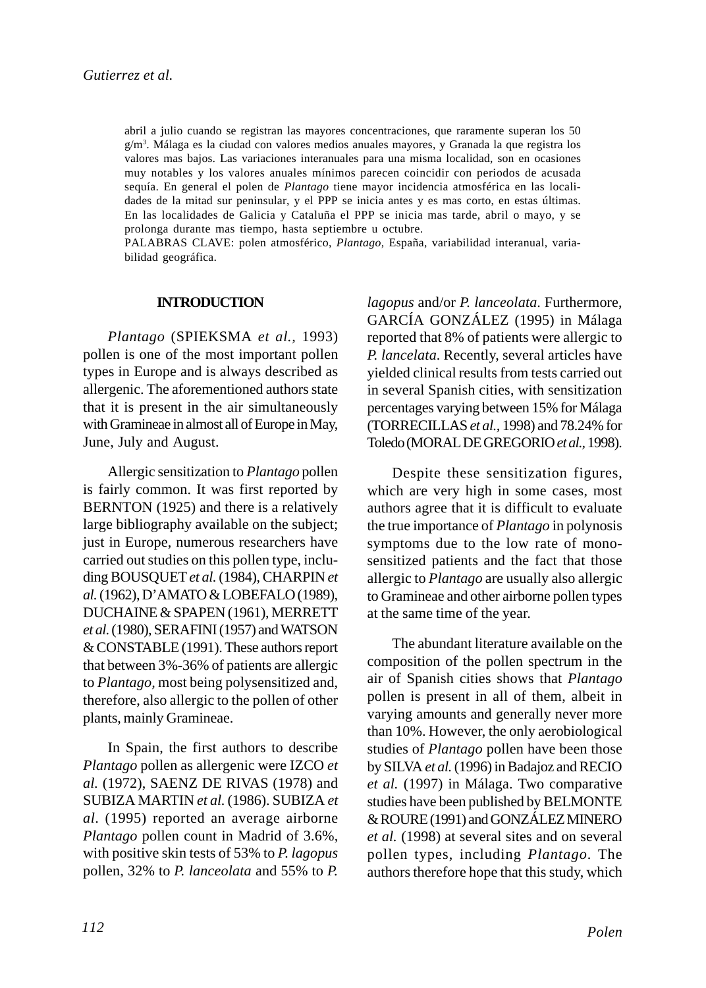abril a julio cuando se registran las mayores concentraciones, que raramente superan los 50 g/m<sup>3</sup>. Málaga es la ciudad con valores medios anuales mayores, y Granada la que registra los valores mas bajos. Las variaciones interanuales para una misma localidad, son en ocasiones muy notables y los valores anuales mínimos parecen coincidir con periodos de acusada sequía. En general el polen de *Plantago* tiene mayor incidencia atmosférica en las localidades de la mitad sur peninsular, y el PPP se inicia antes y es mas corto, en estas últimas. En las localidades de Galicia y Cataluña el PPP se inicia mas tarde, abril o mayo, y se prolonga durante mas tiempo, hasta septiembre u octubre.

PALABRAS CLAVE: polen atmosférico, *Plantago,* España, variabilidad interanual, variabilidad geográfica.

#### **INTRODUCTION**

*Plantago* (SPIEKSMA *et al.,* 1993) pollen is one of the most important pollen types in Europe and is always described as allergenic. The aforementioned authors state that it is present in the air simultaneously with Gramineae in almost all of Europe in May, June, July and August.

Allergic sensitization to *Plantago* pollen is fairly common. It was first reported by BERNTON (1925) and there is a relatively large bibliography available on the subject; just in Europe, numerous researchers have carried out studies on this pollen type, including BOUSQUET *et al.* (1984), CHARPIN *et al.* (1962), D'AMATO & LOBEFALO (1989), DUCHAINE & SPAPEN (1961), MERRETT *et al.* (1980), SERAFINI (1957) and WATSON & CONSTABLE (1991). These authors report that between 3%-36% of patients are allergic to *Plantago,* most being polysensitized and, therefore, also allergic to the pollen of other plants, mainly Gramineae.

In Spain, the first authors to describe *Plantago* pollen as allergenic were IZCO *et al.* (1972), SAENZ DE RIVAS (1978) and SUBIZA MARTIN *et al.* (1986). SUBIZA *et al*. (1995) reported an average airborne *Plantago* pollen count in Madrid of 3.6%, with positive skin tests of 53% to *P. lagopus* pollen, 32% to *P. lanceolata* and 55% to *P.*

*lagopus* and/or *P. lanceolata*. Furthermore, GARCÍA GONZÁLEZ (1995) in Málaga reported that 8% of patients were allergic to *P. lancelata*. Recently, several articles have yielded clinical results from tests carried out in several Spanish cities, with sensitization percentages varying between 15% for Málaga (TORRECILLAS *et al.,* 1998) and 78.24% for Toledo (MORAL DE GREGORIO *et al.,* 1998).

Despite these sensitization figures, which are very high in some cases, most authors agree that it is difficult to evaluate the true importance of *Plantago* in polynosis symptoms due to the low rate of monosensitized patients and the fact that those allergic to *Plantago* are usually also allergic to Gramineae and other airborne pollen types at the same time of the year.

The abundant literature available on the composition of the pollen spectrum in the air of Spanish cities shows that *Plantago* pollen is present in all of them, albeit in varying amounts and generally never more than 10%. However, the only aerobiological studies of *Plantago* pollen have been those by SILVA *et al.* (1996) in Badajoz and RECIO *et al.* (1997) in Málaga. Two comparative studies have been published by BELMONTE & ROURE (1991) and GONZÁLEZ MINERO *et al.* (1998) at several sites and on several pollen types, including *Plantago*. The authors therefore hope that this study, which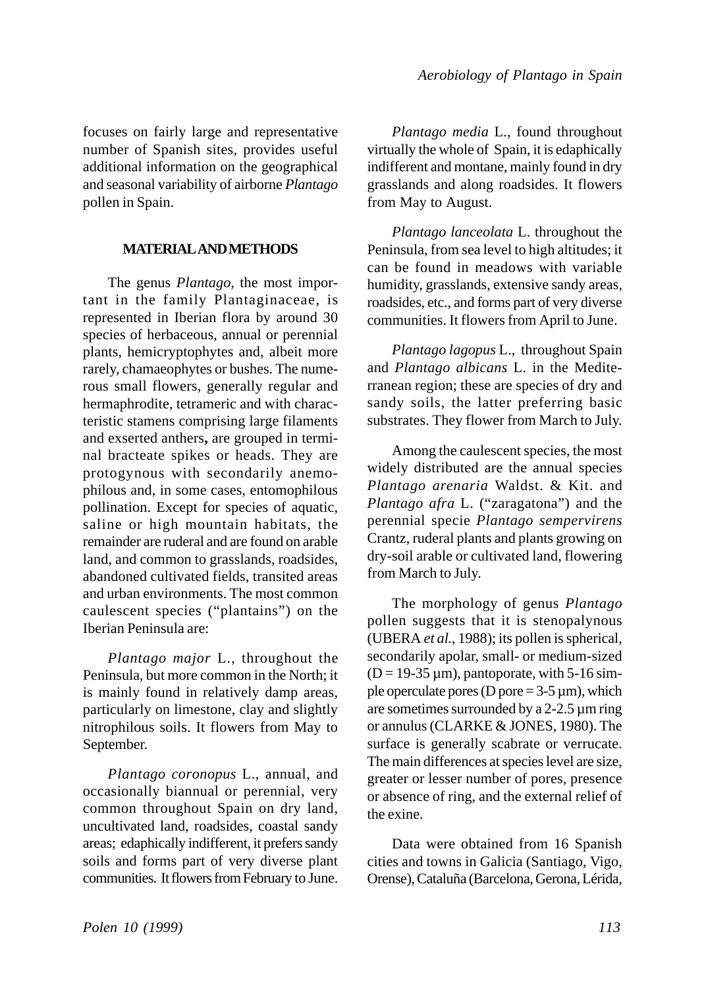focuses on fairly large and representative number of Spanish sites, provides useful additional information on the geographical and seasonal variability of airborne *Plantago* pollen in Spain.

## **MATERIAL AND METHODS**

The genus *Plantago*, the most important in the family Plantaginaceae*,* is represented in Iberian flora by around 30 species of herbaceous, annual or perennial plants, hemicryptophytes and, albeit more rarely, chamaeophytes or bushes. The numerous small flowers, generally regular and hermaphrodite, tetrameric and with characteristic stamens comprising large filaments and exserted anthers**,** are grouped in terminal bracteate spikes or heads. They are protogynous with secondarily anemophilous and, in some cases, entomophilous pollination. Except for species of aquatic, saline or high mountain habitats, the remainder are ruderal and are found on arable land, and common to grasslands, roadsides, abandoned cultivated fields, transited areas and urban environments. The most common caulescent species ("plantains") on the Iberian Peninsula are:

*Plantago major* L., throughout the Peninsula, but more common in the North; it is mainly found in relatively damp areas, particularly on limestone, clay and slightly nitrophilous soils. It flowers from May to September.

*Plantago coronopus* L., annual, and occasionally biannual or perennial, very common throughout Spain on dry land, uncultivated land, roadsides, coastal sandy areas; edaphically indifferent, it prefers sandy soils and forms part of very diverse plant communities. It flowers from February to June.

*Plantago media* L., found throughout virtually the whole of Spain, it is edaphically indifferent and montane, mainly found in dry grasslands and along roadsides. It flowers from May to August.

*Plantago lanceolata* L. throughout the Peninsula, from sea level to high altitudes; it can be found in meadows with variable humidity, grasslands, extensive sandy areas, roadsides, etc., and forms part of very diverse communities. It flowers from April to June.

*Plantago lagopus* L., throughout Spain and *Plantago albicans* L. in the Mediterranean region; these are species of dry and sandy soils, the latter preferring basic substrates. They flower from March to July.

Among the caulescent species, the most widely distributed are the annual species *Plantago arenaria* Waldst. & Kit. and *Plantago afra* L. ("zaragatona") and the perennial specie *Plantago sempervirens* Crantz, ruderal plants and plants growing on dry-soil arable or cultivated land, flowering from March to July.

The morphology of genus *Plantago* pollen suggests that it is stenopalynous (UBERA *et al.*, 1988); its pollen is spherical, secondarily apolar, small- or medium-sized  $(D = 19-35 \,\mu\text{m})$ , pantoporate, with 5-16 simple operculate pores (D pore  $= 3-5 \mu m$ ), which are sometimes surrounded by a  $2-2.5 \mu m$  ring or annulus (CLARKE & JONES, 1980). The surface is generally scabrate or verrucate. The main differences at species level are size, greater or lesser number of pores, presence or absence of ring, and the external relief of the exine.

Data were obtained from 16 Spanish cities and towns in Galicia (Santiago, Vigo, Orense), Cataluña (Barcelona, Gerona, Lérida,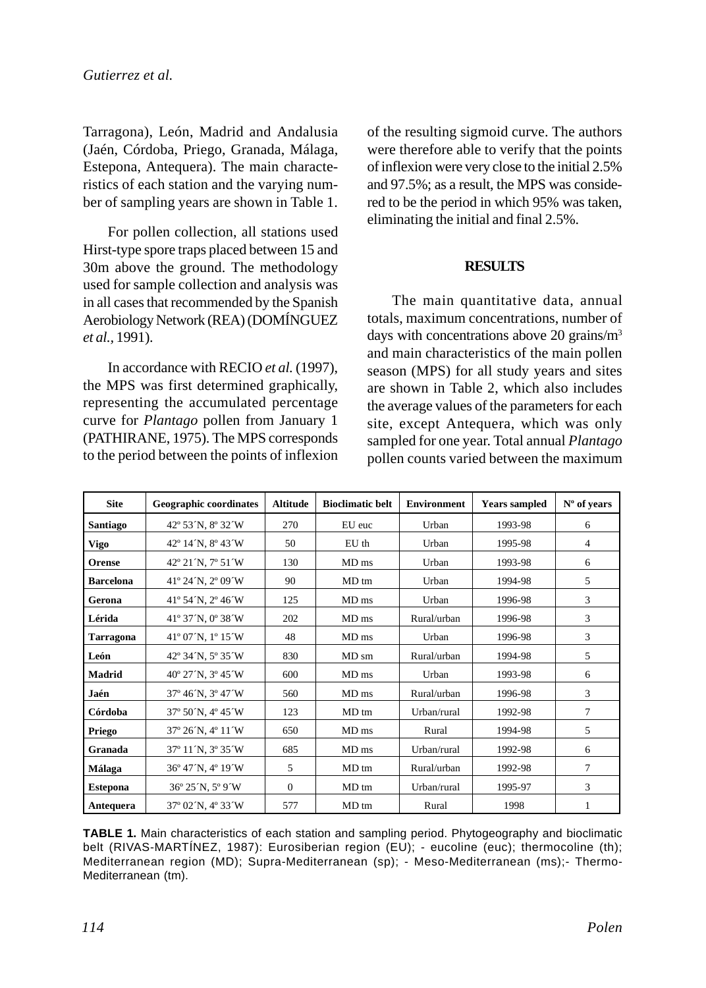Tarragona), León, Madrid and Andalusia (Jaén, Córdoba, Priego, Granada, Málaga, Estepona, Antequera). The main characteristics of each station and the varying number of sampling years are shown in Table 1.

For pollen collection, all stations used Hirst-type spore traps placed between 15 and 30m above the ground. The methodology used for sample collection and analysis was in all cases that recommended by the Spanish Aerobiology Network (REA) (DOMÍNGUEZ *et al.,* 1991).

In accordance with RECIO *et al.* (1997), the MPS was first determined graphically, representing the accumulated percentage curve for *Plantago* pollen from January 1 (PATHIRANE, 1975). The MPS corresponds to the period between the points of inflexion of the resulting sigmoid curve. The authors were therefore able to verify that the points of inflexion were very close to the initial 2.5% and 97.5%; as a result, the MPS was considered to be the period in which 95% was taken, eliminating the initial and final 2.5%.

# **RESULTS**

The main quantitative data, annual totals, maximum concentrations, number of days with concentrations above 20 grains/m<sup>3</sup> and main characteristics of the main pollen season (MPS) for all study years and sites are shown in Table 2, which also includes the average values of the parameters for each site, except Antequera, which was only sampled for one year. Total annual *Plantago* pollen counts varied between the maximum

| <b>Site</b>      | Geographic coordinates          | <b>Altitude</b> | <b>Bioclimatic belt</b> | <b>Environment</b> | <b>Years sampled</b> | $No$ of years  |
|------------------|---------------------------------|-----------------|-------------------------|--------------------|----------------------|----------------|
| <b>Santiago</b>  | 42° 53′N, 8° 32′W               | 270             | EU euc                  | Urban              | 1993-98              | 6              |
| <b>Vigo</b>      | 42° 14′ N, 8° 43 <sup>°</sup> W | 50              | $EU$ th                 | Urban              | 1995-98              | 4              |
| <b>Orense</b>    | 42° 21 N, 7° 51 W               | 130             | MD <sub>ms</sub>        | Urban              | 1993-98              | 6              |
| <b>Barcelona</b> | 41° 24 N, 2° 09 W               | 90              | MD tm                   | Urban              | 1994-98              | 5              |
| Gerona           | 41° 54 N, 2° 46 W               | 125             | MD <sub>ms</sub>        | Urban              | 1996-98              | 3              |
| Lérida           | 41° 37 N, 0° 38 W               | 202             | MD <sub>ms</sub>        | Rural/urban        | 1996-98              | 3              |
| <b>Tarragona</b> | 41° 07 N, 1° 15 W               | 48              | MD <sub>ms</sub>        | Urban              | 1996-98              | 3              |
| León             | 42° 34 N, 5° 35 W               | 830             | MD sm                   | Rural/urban        | 1994-98              | 5              |
| Madrid           | 40° 27 N, 3° 45 W               | 600             | MD <sub>ms</sub>        | Urban              | 1993-98              | 6              |
| Jaén             | 37° 46′N, 3° 47′W               | 560             | MD <sub>ms</sub>        | Rural/urban        | 1996-98              | 3              |
| Córdoba          | 37° 50 N, 4° 45 W               | 123             | MD tm                   | Urban/rural        | 1992-98              | $\overline{7}$ |
| Priego           | 37° 26 N, 4° 11 W               | 650             | MD ms                   | Rural              | 1994-98              | 5              |
| Granada          | 37° 11 N, 3° 35 W               | 685             | MD ms                   | Urban/rural        | 1992-98              | 6              |
| Málaga           | 36° 47 N, 4° 19 W               | 5               | MD tm                   | Rural/urban        | 1992-98              | 7              |
| <b>Estepona</b>  | 36° 25 N, 5° 9 W                | $\Omega$        | MD tm                   | Urban/rural        | 1995-97              | 3              |
| Antequera        | 37° 02 N, 4° 33 W               | 577             | MD tm                   | Rural              | 1998                 | 1              |

**TABLE 1.** Main characteristics of each station and sampling period. Phytogeography and bioclimatic belt (RIVAS-MARTÍNEZ, 1987): Eurosiberian region (EU); - eucoline (euc); thermocoline (th); Mediterranean region (MD); Supra-Mediterranean (sp); - Meso-Mediterranean (ms);- Thermo-Mediterranean (tm).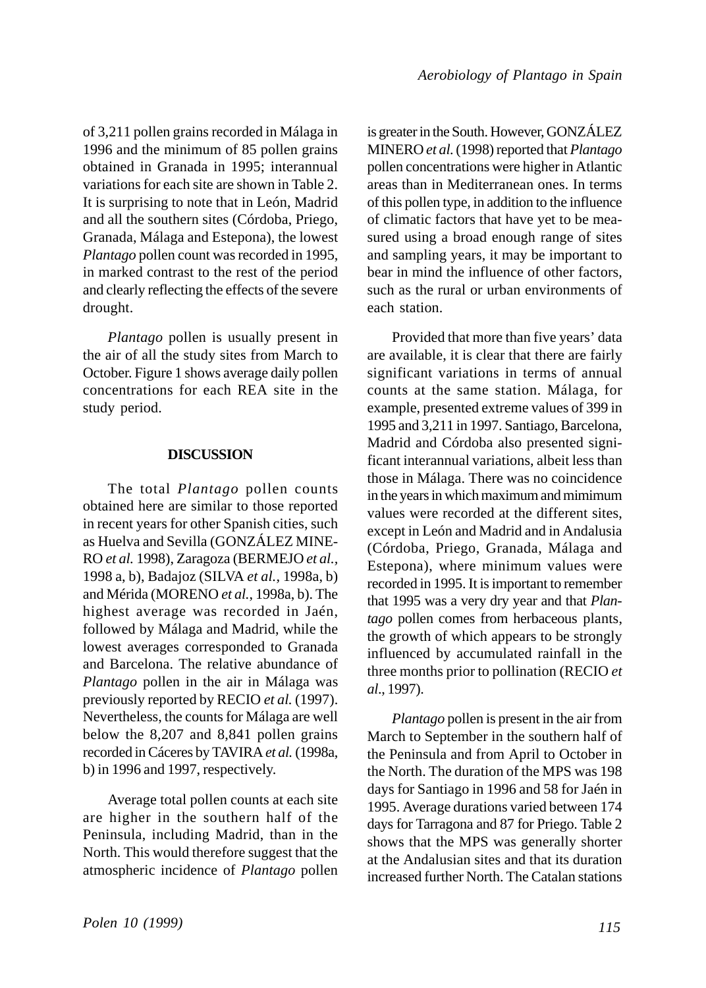of 3,211 pollen grains recorded in Málaga in 1996 and the minimum of 85 pollen grains obtained in Granada in 1995; interannual variations for each site are shown in Table 2. It is surprising to note that in León, Madrid and all the southern sites (Córdoba, Priego, Granada, Málaga and Estepona), the lowest *Plantago* pollen count was recorded in 1995, in marked contrast to the rest of the period and clearly reflecting the effects of the severe drought.

*Plantago* pollen is usually present in the air of all the study sites from March to October. Figure 1 shows average daily pollen concentrations for each REA site in the study period.

### **DISCUSSION**

The total *Plantago* pollen counts obtained here are similar to those reported in recent years for other Spanish cities, such as Huelva and Sevilla (GONZÁLEZ MINE-RO *et al.* 1998), Zaragoza (BERMEJO *et al.,* 1998 a, b), Badajoz (SILVA *et al.,* 1998a, b) and Mérida (MORENO *et al.*, 1998a, b). The highest average was recorded in Jaén, followed by Málaga and Madrid, while the lowest averages corresponded to Granada and Barcelona. The relative abundance of *Plantago* pollen in the air in Málaga was previously reported by RECIO *et al.* (1997). Nevertheless, the counts for Málaga are well below the 8,207 and 8,841 pollen grains recorded in Cáceres by TAVIRA *et al.* (1998a, b) in 1996 and 1997, respectively.

Average total pollen counts at each site are higher in the southern half of the Peninsula, including Madrid, than in the North. This would therefore suggest that the atmospheric incidence of *Plantago* pollen is greater in the South. However, GONZÁLEZ MINERO *et al.* (1998) reported that *Plantago* pollen concentrations were higher in Atlantic areas than in Mediterranean ones. In terms of this pollen type, in addition to the influence of climatic factors that have yet to be measured using a broad enough range of sites and sampling years, it may be important to bear in mind the influence of other factors, such as the rural or urban environments of each station.

Provided that more than five years' data are available, it is clear that there are fairly significant variations in terms of annual counts at the same station. Málaga, for example, presented extreme values of 399 in 1995 and 3,211 in 1997. Santiago, Barcelona, Madrid and Córdoba also presented significant interannual variations, albeit less than those in Málaga. There was no coincidence in the years in which maximum and mimimum values were recorded at the different sites, except in León and Madrid and in Andalusia (Córdoba, Priego, Granada, Málaga and Estepona), where minimum values were recorded in 1995. It is important to remember that 1995 was a very dry year and that *Plantago* pollen comes from herbaceous plants, the growth of which appears to be strongly influenced by accumulated rainfall in the three months prior to pollination (RECIO *et al*., 1997).

*Plantago* pollen is present in the air from March to September in the southern half of the Peninsula and from April to October in the North. The duration of the MPS was 198 days for Santiago in 1996 and 58 for Jaén in 1995. Average durations varied between 174 days for Tarragona and 87 for Priego. Table 2 shows that the MPS was generally shorter at the Andalusian sites and that its duration increased further North. The Catalan stations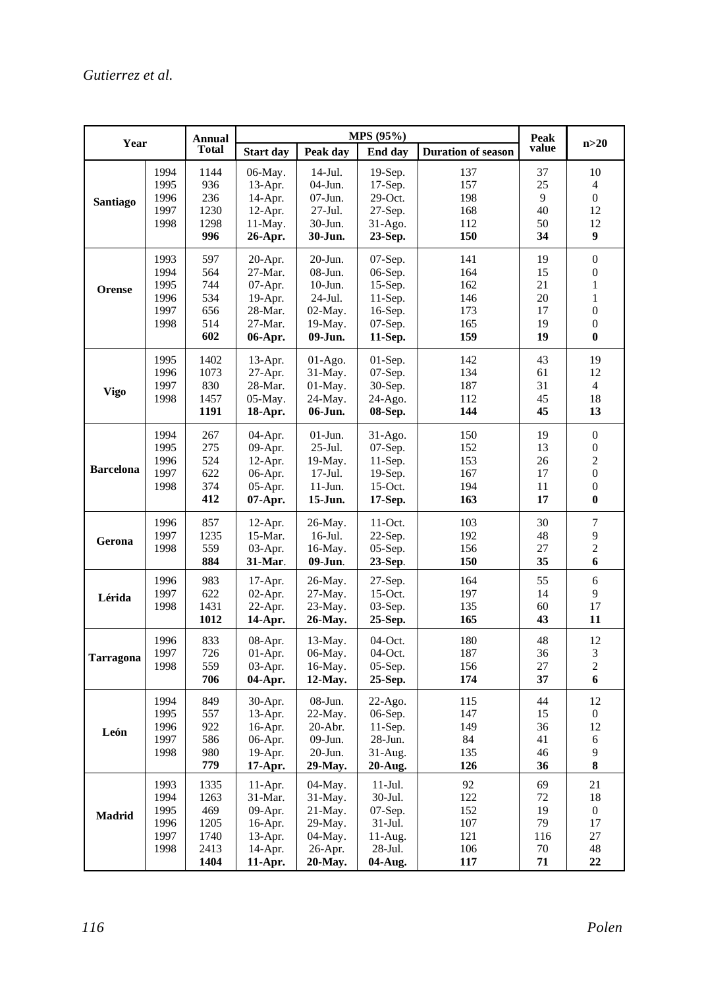| Year             |                                              | Annual<br>Total                                     | <b>MPS</b> (95%)                                                                 |                                                                                   |                                                                                  |                                               |                                         |                                                                                                                      |
|------------------|----------------------------------------------|-----------------------------------------------------|----------------------------------------------------------------------------------|-----------------------------------------------------------------------------------|----------------------------------------------------------------------------------|-----------------------------------------------|-----------------------------------------|----------------------------------------------------------------------------------------------------------------------|
|                  |                                              |                                                     | <b>Start day</b>                                                                 | Peak day                                                                          | End day                                                                          | <b>Duration of season</b>                     | value                                   | n>20                                                                                                                 |
| Santiago         | 1994<br>1995<br>1996<br>1997<br>1998         | 1144<br>936<br>236<br>1230<br>1298<br>996           | 06-May.<br>$13-Apr.$<br>14-Apr.<br>$12-Apr.$<br>$11-May.$<br>26-Apr.             | $14$ -Jul.<br>$04-J$ un.<br>$07-J$ un.<br>27-Jul.<br>30-Jun.<br>30-Jun.           | 19-Sep.<br>$17-Sep.$<br>29-Oct.<br>27-Sep.<br>$31-Ago.$<br>23-Sep.               | 137<br>157<br>198<br>168<br>112<br>150        | 37<br>25<br>9<br>40<br>50<br>34         | 10<br>4<br>$\overline{0}$<br>12<br>12<br>9                                                                           |
| Orense           | 1993<br>1994<br>1995<br>1996<br>1997<br>1998 | 597<br>564<br>744<br>534<br>656<br>514<br>602       | $20-Apr.$<br>27-Mar.<br>07-Apr.<br>19-Apr.<br>28-Mar.<br>27-Mar.<br>06-Apr.      | 20-Jun.<br>08-Jun.<br>$10-J$ un.<br>$24-Jul.$<br>$02$ -May.<br>19-May.<br>09-Jun. | 07-Sep.<br>06-Sep.<br>$15-Sep.$<br>$11-Sep.$<br>16-Sep.<br>07-Sep.<br>11-Sep.    | 141<br>164<br>162<br>146<br>173<br>165<br>159 | 19<br>15<br>21<br>20<br>17<br>19<br>19  | $\boldsymbol{0}$<br>$\boldsymbol{0}$<br>$\mathbf{1}$<br>$\mathbf{1}$<br>$\overline{0}$<br>$\overline{0}$<br>$\bf{0}$ |
| Vigo             | 1995<br>1996<br>1997<br>1998                 | 1402<br>1073<br>830<br>1457<br>1191                 | $13-Apr.$<br>27-Apr.<br>28-Mar.<br>05-May.<br>18-Apr.                            | $01-Ago.$<br>31-May.<br>$01-Mav.$<br>24-May.<br>06-Jun.                           | $01-Sep.$<br>07-Sep.<br>30-Sep.<br>$24-Ago.$<br>08-Sep.                          | 142<br>134<br>187<br>112<br>144               | 43<br>61<br>31<br>45<br>45              | 19<br>12<br>$\overline{4}$<br>18<br>13                                                                               |
| <b>Barcelona</b> | 1994<br>1995<br>1996<br>1997<br>1998         | 267<br>275<br>524<br>622<br>374<br>412              | 04-Apr.<br>09-Apr.<br>12-Apr.<br>06-Apr.<br>05-Apr.<br>07-Apr.                   | $01$ -Jun.<br>$25$ -Jul.<br>19-May.<br>$17-Jul.$<br>$11-Jun.$<br>15-Jun.          | $31-Ago.$<br>07-Sep.<br>$11-Sep.$<br>$19-Sep.$<br>$15$ -Oct.<br>17-Sep.          | 150<br>152<br>153<br>167<br>194<br>163        | 19<br>13<br>26<br>17<br>11<br>17        | $\boldsymbol{0}$<br>$\boldsymbol{0}$<br>$\overline{c}$<br>$\overline{0}$<br>$\mathbf{0}$<br>$\bf{0}$                 |
| Gerona           | 1996<br>1997<br>1998                         | 857<br>1235<br>559<br>884                           | $12-Apr.$<br>15-Mar.<br>03-Apr.<br>31-Mar.                                       | 26-May.<br>$16$ -Jul.<br>16-May.<br>09-Jun.                                       | 11-Oct.<br>$22-Sep.$<br>$05-Sep.$<br>23-Sep.                                     | 103<br>192<br>156<br>150                      | 30<br>48<br>27<br>35                    | $\overline{7}$<br>9<br>$\overline{c}$<br>6                                                                           |
| Lérida           | 1996<br>1997<br>1998                         | 983<br>622<br>1431<br>1012                          | 17-Apr.<br>$02-Apr.$<br>22-Apr.<br>14-Apr.                                       | 26-May.<br>27-May.<br>23-May.<br>26-May.                                          | 27-Sep.<br>$15$ -Oct.<br>$03-Sep.$<br>25-Sep.                                    | 164<br>197<br>135<br>165                      | 55<br>14<br>60<br>43                    | 6<br>9<br>17<br>11                                                                                                   |
| Tarragona        | 1996<br>1997<br>1998                         | 833<br>726<br>559<br>706                            | 08-Apr.<br>$01-Apr.$<br>03-Apr.<br>04-Apr.                                       | $13-May.$<br>06-May.<br>16-May.<br>12-May.                                        | $04$ -Oct.<br>04-Oct.<br>$05-Sep.$<br>25-Sep.                                    | 180<br>187<br>156<br>174                      | 48<br>36<br>27<br>37                    | 12<br>3<br>$\overline{c}$<br>6                                                                                       |
| León             | 1994<br>1995<br>1996<br>1997<br>1998         | 849<br>557<br>922<br>586<br>980<br>779              | 30-Apr.<br>$13-Apr.$<br>16-Apr.<br>06-Apr.<br>19-Apr.<br>17-Apr.                 | $08-Jun.$<br>22-May.<br>$20-Abr.$<br>09-Jun.<br>20-Jun.<br>29-May.                | $22-Ago.$<br>06-Sep.<br>$11-Sep.$<br>28-Jun.<br>$31-Aug.$<br>20-Aug.             | 115<br>147<br>149<br>84<br>135<br>126         | 44<br>15<br>36<br>41<br>46<br>36        | 12<br>$\boldsymbol{0}$<br>12<br>6<br>9<br>8                                                                          |
| <b>Madrid</b>    | 1993<br>1994<br>1995<br>1996<br>1997<br>1998 | 1335<br>1263<br>469<br>1205<br>1740<br>2413<br>1404 | $11-Apr.$<br>31-Mar.<br>09-Apr.<br>16-Apr.<br>$13-Apr.$<br>$14$ -Apr.<br>11-Apr. | 04-May.<br>$31-May.$<br>21-May.<br>29-May.<br>04-May.<br>26-Apr.<br>20-May.       | $11$ -Jul.<br>30-Jul.<br>07-Sep.<br>$31-Jul.$<br>$11-Aug.$<br>28-Jul.<br>04-Aug. | 92<br>122<br>152<br>107<br>121<br>106<br>117  | 69<br>72<br>19<br>79<br>116<br>70<br>71 | 21<br>18<br>$\boldsymbol{0}$<br>17<br>27<br>48<br>22                                                                 |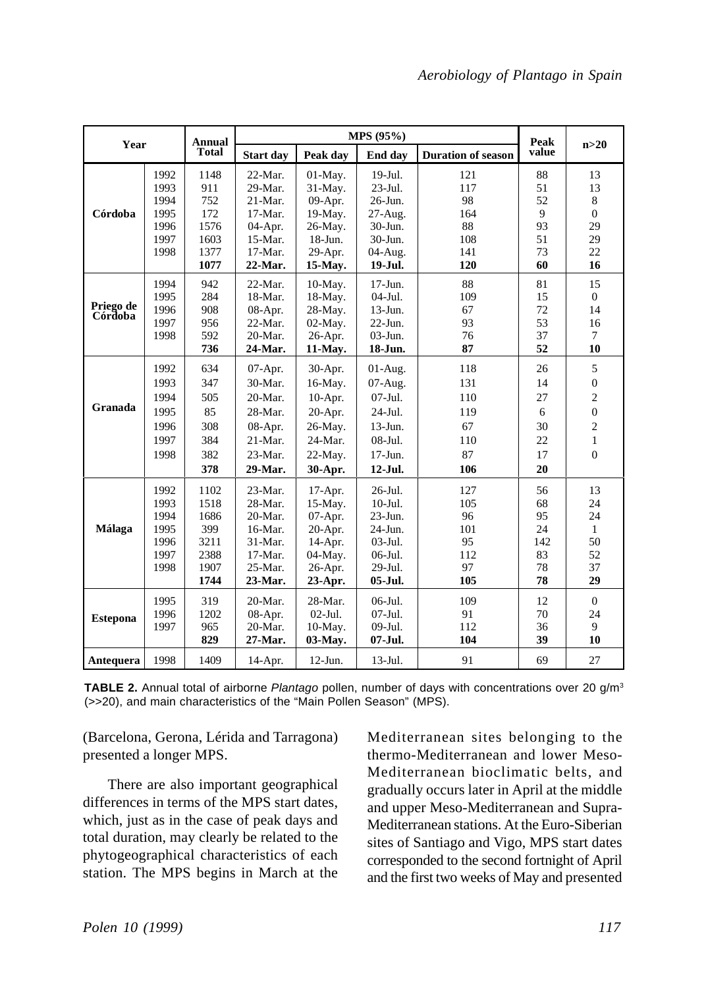| Year                 |              | <b>Annual</b><br><b>Total</b> | MPS (95%)             |                    |                    |                           | Peak     |                  |
|----------------------|--------------|-------------------------------|-----------------------|--------------------|--------------------|---------------------------|----------|------------------|
|                      |              |                               | <b>Start day</b>      | Peak day           | End day            | <b>Duration of season</b> | value    | n>20             |
|                      | 1992         | 1148                          | $22-Mar.$             | $01-May.$          | 19-Jul.            | 121                       | 88       | 13               |
|                      | 1993<br>1994 | 911<br>752                    | 29-Mar.<br>$21$ -Mar. | 31-May.<br>09-Apr. | 23-Jul.<br>26-Jun. | 117<br>98                 | 51<br>52 | 13<br>8          |
| Córdoba              | 1995         | 172                           | $17-Mar.$             | 19-May.            | 27-Aug.            | 164                       | 9        | $\overline{0}$   |
|                      | 1996         | 1576                          | 04-Apr.               | 26-May.            | 30-Jun.            | 88                        | 93       | 29               |
|                      | 1997         | 1603                          | 15-Mar.               | $18$ -Jun.         | 30-Jun.            | 108                       | 51       | 29               |
|                      | 1998         | 1377                          | $17-Mar.$             | 29-Apr.            | 04-Aug.            | 141                       | 73       | 22               |
|                      |              | 1077                          | 22-Mar.               | 15-May.            | 19-Jul.            | 120                       | 60       | 16               |
|                      | 1994         | 942                           | $22-Mar.$             | 10-May.            | $17-Jun.$          | 88                        | 81       | 15               |
|                      | 1995         | 284                           | 18-Mar.               | 18-May.            | $04$ -Jul.         | 109                       | 15       | $\overline{0}$   |
| Priego de<br>Córdoba | 1996         | 908                           | 08-Apr.               | 28-May.            | $13-Jun.$          | 67                        | 72       | 14               |
|                      | 1997         | 956                           | $22-Mar.$             | 02-May.            | $22$ -Jun.         | 93                        | 53       | 16               |
|                      | 1998         | 592                           | 20-Mar.               | 26-Apr.            | $03-Jun.$          | 76                        | 37       | $\tau$           |
|                      |              | 736                           | 24-Mar.               | 11-May.            | 18-Jun.            | 87                        | 52       | 10               |
|                      | 1992         | 634                           | 07-Apr.               | 30-Apr.            | $01-Aug.$          | 118                       | 26       | 5                |
|                      | 1993         | 347                           | 30-Mar.               | 16-May.            | 07-Aug.            | 131                       | 14       | $\boldsymbol{0}$ |
|                      | 1994         | 505                           | 20-Mar.               | 10-Apr.            | 07-Jul.            | 110                       | 27       | $\overline{c}$   |
| Granada              | 1995         | 85                            | 28-Mar.               | 20-Apr.            | 24-Jul.            | 119                       | 6        | $\overline{0}$   |
|                      | 1996         | 308                           | 08-Apr.               | 26-May.            | 13-Jun.            | 67                        | 30       | $\overline{c}$   |
|                      | 1997         | 384                           | $21$ -Mar.            | 24-Mar.            | $08-Jul.$          | 110                       | 22       | $\mathbf{1}$     |
|                      | 1998         | 382                           | 23-Mar.               | 22-May.            | $17-Jun.$          | 87                        | 17       | $\Omega$         |
|                      |              | 378                           | 29-Mar.               | 30-Apr.            | 12-Jul.            | 106                       | 20       |                  |
|                      | 1992         | 1102                          | 23-Mar.               | 17-Apr.            | 26-Jul.            | 127                       | 56       | 13               |
|                      | 1993         | 1518                          | 28-Mar.               | 15-May.            | $10-Jul.$          | 105                       | 68       | 24               |
|                      | 1994         | 1686                          | 20-Mar.               | 07-Apr.            | 23-Jun.            | 96                        | 95       | 24               |
| Málaga               | 1995         | 399                           | 16-Mar.               | 20-Apr.            | 24-Jun.            | 101                       | 24       | $\mathbf{1}$     |
|                      | 1996         | 3211                          | $31-Mar.$             | 14-Apr.            | $03-Jul.$          | 95                        | 142      | 50               |
|                      | 1997         | 2388                          | $17-Mar.$             | 04-May.            | 06-Jul.            | 112                       | 83       | 52               |
|                      | 1998         | 1907                          | 25-Mar.               | 26-Apr.            | 29-Jul.            | 97                        | 78       | 37               |
|                      |              | 1744                          | 23-Mar.               | 23-Apr.            | 05-Jul.            | 105                       | 78       | 29               |
|                      | 1995         | 319                           | 20-Mar.               | 28-Mar.            | 06-Jul.            | 109                       | 12       | $\mathbf{0}$     |
| <b>Estepona</b>      | 1996         | 1202                          | 08-Apr.               | $02-Jul.$          | $07-Jul.$          | 91                        | 70       | 24               |
|                      | 1997         | 965                           | 20-Mar.               | 10-May.            | 09-Jul.            | 112                       | 36       | 9                |
|                      |              | 829                           | 27-Mar.               | 03-May.            | 07-Jul.            | 104                       | 39       | 10               |
| Antequera            | 1998         | 1409                          | 14-Apr.               | $12-Jun.$          | $13$ -Jul.         | 91                        | 69       | 27               |

**TABLE 2.** Annual total of airborne *Plantago* pollen, number of days with concentrations over 20 g/m3 (>>20), and main characteristics of the "Main Pollen Season" (MPS).

(Barcelona, Gerona, Lérida and Tarragona) presented a longer MPS.

There are also important geographical differences in terms of the MPS start dates, which, just as in the case of peak days and total duration, may clearly be related to the phytogeographical characteristics of each station. The MPS begins in March at the

Mediterranean sites belonging to the thermo-Mediterranean and lower Meso-Mediterranean bioclimatic belts, and gradually occurs later in April at the middle and upper Meso-Mediterranean and Supra-Mediterranean stations. At the Euro-Siberian sites of Santiago and Vigo, MPS start dates corresponded to the second fortnight of April and the first two weeks of May and presented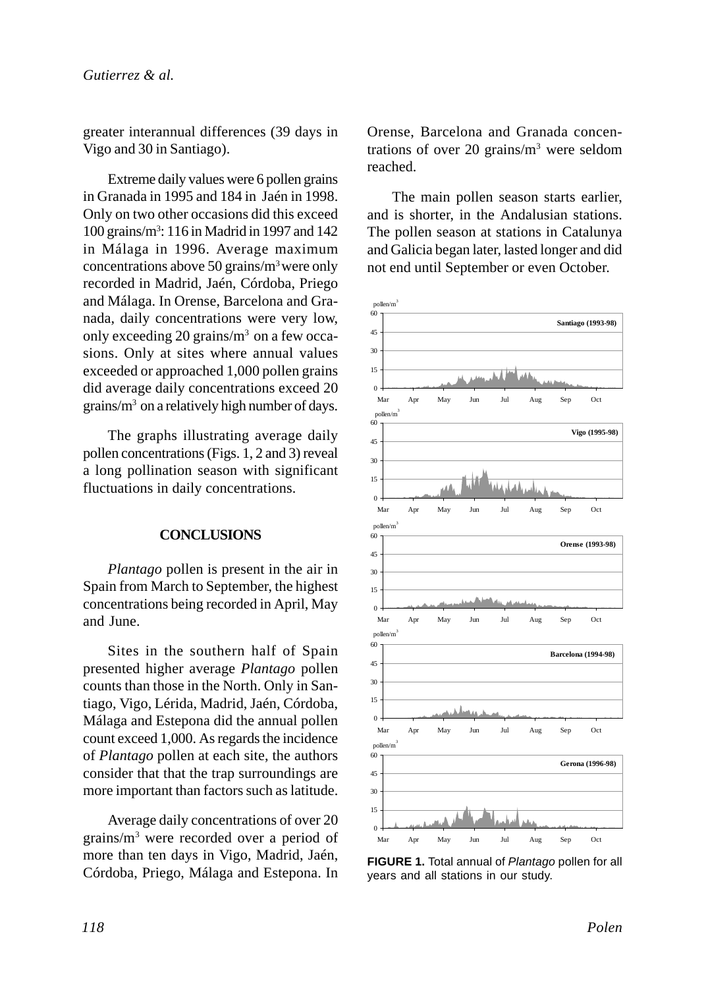greater interannual differences (39 days in Vigo and 30 in Santiago).

Extreme daily values were 6 pollen grains in Granada in 1995 and 184 in Jaén in 1998. Only on two other occasions did this exceed 100 grains/m3 : 116 in Madrid in 1997 and 142 in Málaga in 1996. Average maximum concentrations above 50 grains/m3 were only recorded in Madrid, Jaén, Córdoba, Priego and Málaga. In Orense, Barcelona and Granada, daily concentrations were very low, only exceeding 20 grains/ $m<sup>3</sup>$  on a few occasions. Only at sites where annual values exceeded or approached 1,000 pollen grains did average daily concentrations exceed 20 grains/m3 on a relatively high number of days.

The graphs illustrating average daily pollen concentrations (Figs. 1, 2 and 3) reveal a long pollination season with significant fluctuations in daily concentrations.

## **CONCLUSIONS**

*Plantago* pollen is present in the air in Spain from March to September, the highest concentrations being recorded in April, May and June.

Sites in the southern half of Spain presented higher average *Plantago* pollen counts than those in the North. Only in Santiago, Vigo, Lérida, Madrid, Jaén, Córdoba, Málaga and Estepona did the annual pollen count exceed 1,000. As regards the incidence of *Plantago* pollen at each site, the authors consider that that the trap surroundings are more important than factors such as latitude.

Average daily concentrations of over 20 grains/m3 were recorded over a period of more than ten days in Vigo, Madrid, Jaén, Córdoba, Priego, Málaga and Estepona. In Orense, Barcelona and Granada concentrations of over 20 grains/ $m<sup>3</sup>$  were seldom reached.

The main pollen season starts earlier, and is shorter, in the Andalusian stations. The pollen season at stations in Catalunya and Galicia began later, lasted longer and did not end until September or even October.



**FIGURE 1.** Total annual of *Plantago* pollen for all years and all stations in our study.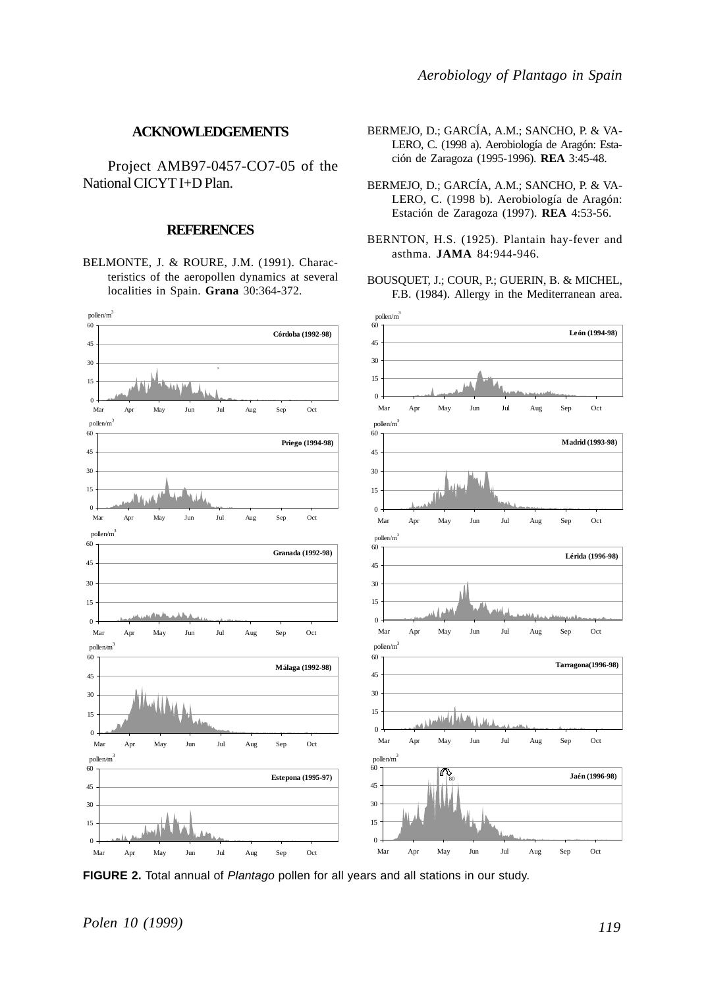#### **ACKNOWLEDGEMENTS**

Project AMB97-0457-CO7-05 of the National CICYT I+D Plan.

#### **REFERENCES**

BELMONTE, J. & ROURE, J.M. (1991). Characteristics of the aeropollen dynamics at several localities in Spain. **Grana** 30:364-372.



**FIGURE 2.** Total annual of *Plantago* pollen for all years and all stations in our study.

*Polen 10 (1999)*

- BERMEJO, D.; GARCÍA, A.M.; SANCHO, P. & VA-LERO, C. (1998 a). Aerobiología de Aragón: Estación de Zaragoza (1995-1996). **REA** 3:45-48.
- BERMEJO, D.; GARCÍA, A.M.; SANCHO, P. & VA-LERO, C. (1998 b). Aerobiología de Aragón: Estación de Zaragoza (1997). **REA** 4:53-56.
- BERNTON, H.S. (1925). Plantain hay-fever and asthma. **JAMA** 84:944-946.
- BOUSQUET, J.; COUR, P.; GUERIN, B. & MICHEL, F.B. (1984). Allergy in the Mediterranean area.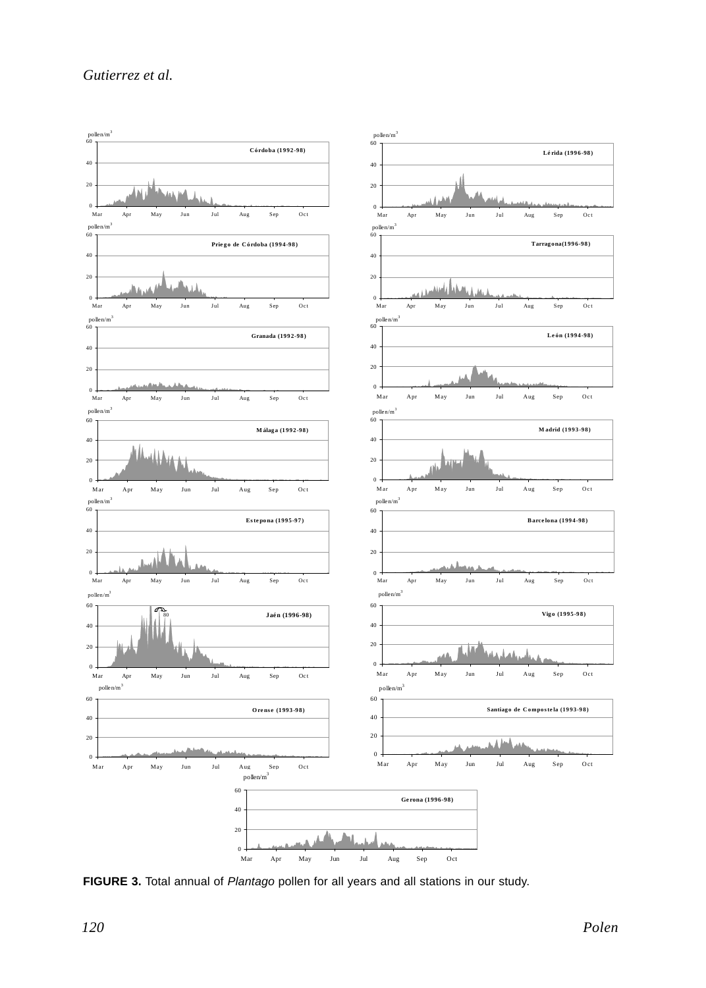## *Gutierrez et al.*



**FIGURE 3.** Total annual of *Plantago* pollen for all years and all stations in our study.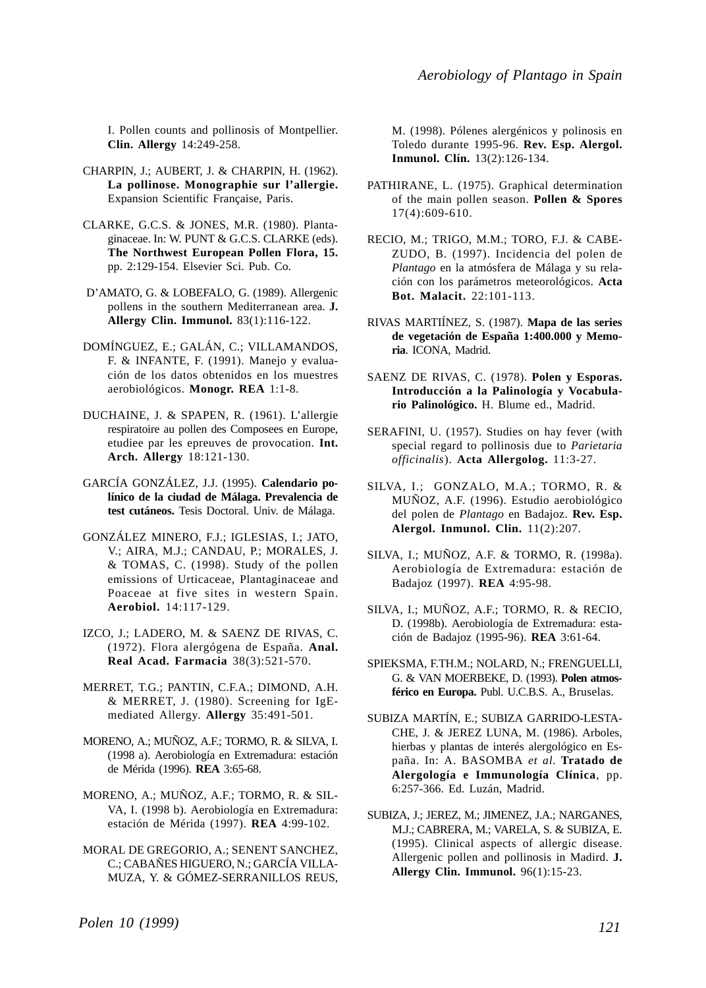I. Pollen counts and pollinosis of Montpellier. **Clin. Allergy** 14:249-258.

- CHARPIN, J.; AUBERT, J. & CHARPIN, H. (1962). **La pollinose. Monographie sur l'allergie.** Expansion Scientific Française, Paris.
- CLARKE, G.C.S. & JONES, M.R. (1980). Plantaginaceae. In: W. PUNT & G.C.S. CLARKE (eds). **The Northwest European Pollen Flora, 15.** pp. 2:129-154. Elsevier Sci. Pub. Co.
- D'AMATO, G. & LOBEFALO, G. (1989). Allergenic pollens in the southern Mediterranean area. **J. Allergy Clin. Immunol.** 83(1):116-122.
- DOMÍNGUEZ, E.; GALÁN, C.; VILLAMANDOS, F. & INFANTE, F. (1991). Manejo y evaluación de los datos obtenidos en los muestres aerobiológicos. **Monogr. REA** 1:1-8.
- DUCHAINE, J. & SPAPEN, R. (1961). L'allergie respiratoire au pollen des Composees en Europe, etudiee par les epreuves de provocation. **Int. Arch. Allergy** 18:121-130.
- GARCÍA GONZÁLEZ, J.J. (1995). **Calendario polínico de la ciudad de Málaga. Prevalencia de test cutáneos.** Tesis Doctoral. Univ. de Málaga.
- GONZÁLEZ MINERO, F.J.; IGLESIAS, I.; JATO, V.; AIRA, M.J.; CANDAU, P.; MORALES, J. & TOMAS, C. (1998). Study of the pollen emissions of Urticaceae, Plantaginaceae and Poaceae at five sites in western Spain. **Aerobiol.** 14:117-129.
- IZCO, J.; LADERO, M. & SAENZ DE RIVAS, C. (1972). Flora alergógena de España. **Anal. Real Acad. Farmacia** 38(3):521-570.
- MERRET, T.G.; PANTIN, C.F.A.; DIMOND, A.H. & MERRET, J. (1980). Screening for IgEmediated Allergy. **Allergy** 35:491-501.
- MORENO, A.; MUÑOZ, A.F.; TORMO, R. & SILVA, I. (1998 a). Aerobiología en Extremadura: estación de Mérida (1996). **REA** 3:65-68.
- MORENO, A.; MUÑOZ, A.F.; TORMO, R. & SIL-VA, I. (1998 b). Aerobiología en Extremadura: estación de Mérida (1997). **REA** 4:99-102.
- MORAL DE GREGORIO, A.; SENENT SANCHEZ, C.; CABAÑES HIGUERO, N.; GARCÍA VILLA-MUZA, Y. & GÓMEZ-SERRANILLOS REUS,

M. (1998). Pólenes alergénicos y polinosis en Toledo durante 1995-96. **Rev. Esp. Alergol. Inmunol. Clín.** 13(2):126-134.

- PATHIRANE, L. (1975). Graphical determination of the main pollen season. **Pollen & Spores** 17(4):609-610.
- RECIO, M.; TRIGO, M.M.; TORO, F.J. & CABE-ZUDO, B. (1997). Incidencia del polen de *Plantago* en la atmósfera de Málaga y su relación con los parámetros meteorológicos. **Acta Bot. Malacit.** 22:101-113.
- RIVAS MARTIÍNEZ, S. (1987). **Mapa de las series de vegetación de España 1:400.000 y Memoria**. ICONA, Madrid.
- SAENZ DE RIVAS, C. (1978). **Polen y Esporas. Introducción a la Palinología y Vocabulario Palinológico.** H. Blume ed., Madrid.
- SERAFINI, U. (1957). Studies on hay fever (with special regard to pollinosis due to *Parietaria officinalis*). **Acta Allergolog.** 11:3-27.
- SILVA, I.; GONZALO, M.A.; TORMO, R. & MUÑOZ, A.F. (1996). Estudio aerobiológico del polen de *Plantago* en Badajoz. **Rev. Esp. Alergol. Inmunol. Clin.** 11(2):207.
- SILVA, I.; MUÑOZ, A.F. & TORMO, R. (1998a). Aerobiología de Extremadura: estación de Badajoz (1997). **REA** 4:95-98.
- SILVA, I.; MUÑOZ, A.F.; TORMO, R. & RECIO, D. (1998b). Aerobiología de Extremadura: estación de Badajoz (1995-96). **REA** 3:61-64.
- SPIEKSMA, F.TH.M.; NOLARD, N.; FRENGUELLI, G. & VAN MOERBEKE, D. (1993). **Polen atmosférico en Europa.** Publ. U.C.B.S. A., Bruselas.
- SUBIZA MARTÍN, E.; SUBIZA GARRIDO-LESTA-CHE, J. & JEREZ LUNA, M. (1986). Arboles, hierbas y plantas de interés alergológico en España. In: A. BASOMBA *et al.* **Tratado de Alergología e Immunología Clínica**, pp. 6:257-366. Ed. Luzán, Madrid.
- SUBIZA, J.; JEREZ, M.; JIMENEZ, J.A.; NARGANES, M.J.; CABRERA, M.; VARELA, S. & SUBIZA, E. (1995). Clinical aspects of allergic disease. Allergenic pollen and pollinosis in Madird. **J. Allergy Clin. Immunol.** 96(1):15-23.